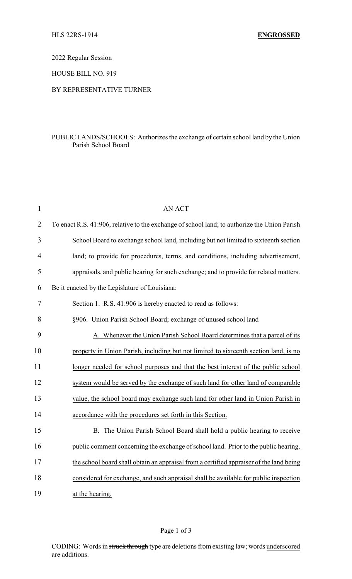2022 Regular Session

HOUSE BILL NO. 919

## BY REPRESENTATIVE TURNER

## PUBLIC LANDS/SCHOOLS: Authorizes the exchange of certain school land by the Union Parish School Board

| $\mathbf{1}$   | <b>AN ACT</b>                                                                                |
|----------------|----------------------------------------------------------------------------------------------|
| $\overline{2}$ | To enact R.S. 41:906, relative to the exchange of school land; to authorize the Union Parish |
| 3              | School Board to exchange school land, including but not limited to sixteenth section         |
| $\overline{4}$ | land; to provide for procedures, terms, and conditions, including advertisement,             |
| 5              | appraisals, and public hearing for such exchange; and to provide for related matters.        |
| 6              | Be it enacted by the Legislature of Louisiana:                                               |
| 7              | Section 1. R.S. 41:906 is hereby enacted to read as follows:                                 |
| 8              | §906. Union Parish School Board; exchange of unused school land                              |
| 9              | A. Whenever the Union Parish School Board determines that a parcel of its                    |
| 10             | property in Union Parish, including but not limited to sixteenth section land, is no         |
| 11             | longer needed for school purposes and that the best interest of the public school            |
| 12             | system would be served by the exchange of such land for other land of comparable             |
| 13             | value, the school board may exchange such land for other land in Union Parish in             |
| 14             | accordance with the procedures set forth in this Section.                                    |
| 15             | B. The Union Parish School Board shall hold a public hearing to receive                      |
| 16             | public comment concerning the exchange of school land. Prior to the public hearing,          |
| 17             | the school board shall obtain an appraisal from a certified appraiser of the land being      |
| 18             | considered for exchange, and such appraisal shall be available for public inspection         |
| 19             | at the hearing.                                                                              |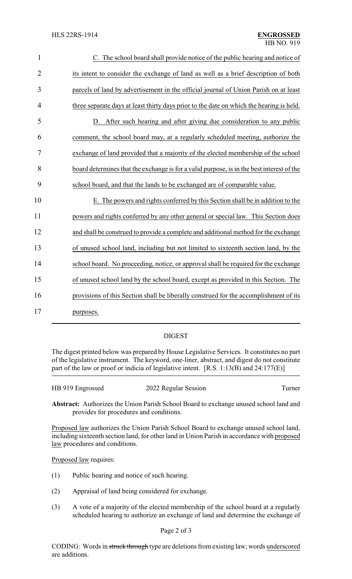| $\mathbf{1}$   | C. The school board shall provide notice of the public hearing and notice of              |
|----------------|-------------------------------------------------------------------------------------------|
| $\overline{2}$ | its intent to consider the exchange of land as well as a brief description of both        |
| 3              | parcels of land by advertisement in the official journal of Union Parish on at least      |
| $\overline{4}$ | three separate days at least thirty days prior to the date on which the hearing is held.  |
| 5              | D. After such hearing and after giving due consideration to any public                    |
| 6              | comment, the school board may, at a regularly scheduled meeting, authorize the            |
| $\overline{7}$ | exchange of land provided that a majority of the elected membership of the school         |
| 8              | board determines that the exchange is for a valid purpose, is in the best interest of the |
| 9              | school board, and that the lands to be exchanged are of comparable value.                 |
| 10             | E. The powers and rights conferred by this Section shall be in addition to the            |
| 11             | powers and rights conferred by any other general or special law. This Section does        |
| 12             | and shall be construed to provide a complete and additional method for the exchange       |
| 13             | of unused school land, including but not limited to sixteenth section land, by the        |
| 14             | school board. No proceeding, notice, or approval shall be required for the exchange       |
| 15             | of unused school land by the school board, except as provided in this Section. The        |
| 16             | provisions of this Section shall be liberally construed for the accomplishment of its     |
| 17             | purposes.                                                                                 |

## DIGEST

The digest printed below was prepared by House Legislative Services. It constitutes no part of the legislative instrument. The keyword, one-liner, abstract, and digest do not constitute part of the law or proof or indicia of legislative intent. [R.S. 1:13(B) and 24:177(E)]

| HB 919 Engrossed | 2022 Regular Session | Turner |
|------------------|----------------------|--------|
|                  |                      |        |

**Abstract:** Authorizes the Union Parish School Board to exchange unused school land and provides for procedures and conditions.

Proposed law authorizes the Union Parish School Board to exchange unused school land, including sixteenth section land, for other land in Union Parish in accordance with proposed law procedures and conditions.

Proposed law requires:

- (1) Public hearing and notice of such hearing.
- (2) Appraisal of land being considered for exchange.
- (3) A vote of a majority of the elected membership of the school board at a regularly scheduled hearing to authorize an exchange of land and determine the exchange of

CODING: Words in struck through type are deletions from existing law; words underscored are additions.